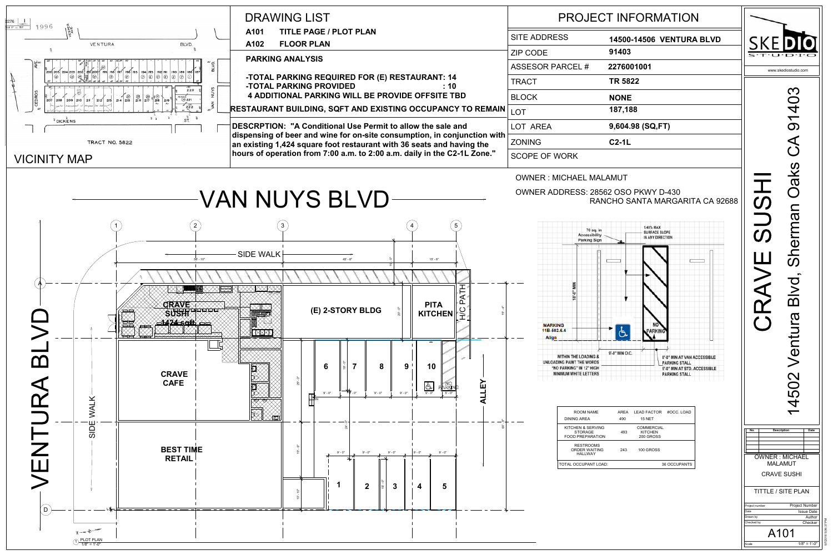403 14502 Ventura Blvd, Sherman Oaks CA 91403  $\blacktriangledown$  $\Omega$ Oaks **S** Sherman  $\boldsymbol{\mathcal{O}}$  $\overline{\mathbf{C}}$  $\frac{1}{\mathbf{D}}$  $\overline{\mathcal{D}}$ entur 4502  $\overline{\phantom{0}}$ **No. Description Date** OWNER : MICHAEL MALAMUT CRAVE SUSHI TITTLE / SITE PLAN Project Number Project number Issue Date Drawn by Author

| ÷.<br>e.<br>F        |
|----------------------|
| www.skediostudio.com |
|                      |

Scale

Date

Checked by

A101

Checker



| <b>14500-14506 VENTURA BLVD</b> |
|---------------------------------|
| 91403                           |
| 2276001001                      |
| <b>TR 5822</b>                  |
| <b>NONE</b>                     |
| 187,188                         |
| 9,604.98 (SQ,FT)                |
| $C2-1L$                         |

## RANCHO SANTA MARGARITA CA 92688

| OOM NAME<br>AREA                                          | 490 | AREA LEAD FACTOR<br><b>15 NET</b>                | #OCC. LOAD          |
|-----------------------------------------------------------|-----|--------------------------------------------------|---------------------|
| N & SERVING<br><b><i>TORAGE</i></b><br><b>PREPARATION</b> | 493 | <b>COMMERCIAL</b><br><b>KITCHEN</b><br>200 GROSS |                     |
| ESTROOMS<br><b>DER WAITING</b><br><b>IALLWAY</b>          | 243 | 100 GROSS                                        |                     |
| CUPANT LOAD:                                              |     |                                                  | <b>36 OCCUPANTS</b> |
|                                                           |     |                                                  |                     |